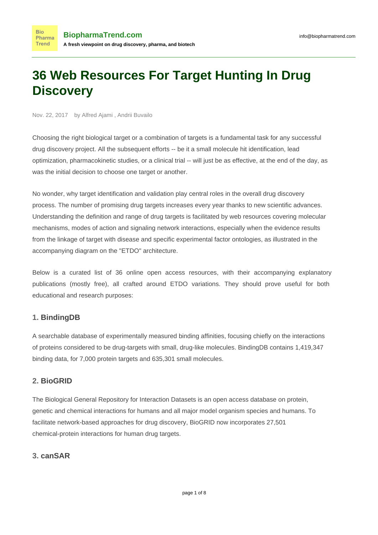# **36 Web Resources For Target Hunting In Drug Discovery**

Nov. 22, 2017 by Alfred Ajami , Andrii Buvailo

**Bio** 

Choosing the right biological target or a combination of targets is a fundamental task for any successful drug discovery project. All the subsequent efforts -- be it a small molecule hit identification, lead optimization, pharmacokinetic studies, or a clinical trial -- will just be as effective, at the end of the day, as was the initial decision to choose one target or another.

No wonder, why target identification and validation play central roles in the overall drug discovery process. The [number of promising drug targets increases](https://www.biopharmatrend.com/post/44-how-many-drug-targets-are-there-a-status-update-review/) every year thanks to new scientific advances. Understanding the definition and range of drug targets is facilitated by web resources covering molecular mechanisms, modes of action and signaling network interactions, especially when the evidence results from the linkage of target with disease and specific experimental factor ontologies, as illustrated in the accompanying diagram on the "ETDO" architecture.

Below is a curated list of 36 online open access resources, with their accompanying explanatory publications (mostly free), all crafted around ETDO variations. They should prove useful for both educational and research purposes:

## **1. [BindingDB](https://www.biopharmatrend.com/m/product/bindingdb/)**

A searchable database of experimentally measured binding affinities, focusing chiefly on the interactions of proteins considered to be drug-targets with small, drug-like molecules. BindingDB contains 1,419,347 binding data, for 7,000 protein targets and 635,301 small molecules.

## **2. [BioGRID](https://www.biopharmatrend.com/m/product/biogrid/)**

The Biological General Repository for Interaction Datasets is an open access database on protein, genetic and chemical interactions for humans and all major model organism species and humans. To facilitate network-based approaches for drug discovery, BioGRID now incorporates 27,501 chemical-protein interactions for human drug targets.

## **3. [canSAR](https://www.biopharmatrend.com/m/product/cansar/)**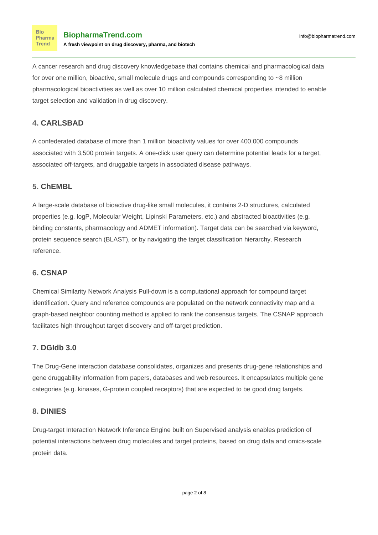A cancer research and drug discovery knowledgebase that contains chemical and pharmacological data for over one million, bioactive, small molecule drugs and compounds corresponding to ~8 million pharmacological bioactivities as well as over 10 million calculated chemical properties intended to enable target selection and validation in drug discovery.

# **4. [CARLSBAD](https://www.biopharmatrend.com/m/product/carlsbad/)**

A confederated database of more than 1 million bioactivity values for over 400,000 compounds associated with 3,500 protein targets. A [one-click user query](http://bit.ly/2zUdEio) can determine potential leads for a target, associated off-targets, and druggable targets in associated disease pathways.

## **5. [ChEMBL](https://www.ebi.ac.uk/chembl/)**

A large-scale database of bioactive drug-like small molecules, it contains 2-D structures, calculated properties (e.g. logP, Molecular Weight, Lipinski Parameters, etc.) and abstracted bioactivities (e.g. binding constants, pharmacology and ADMET information). Target data can be searched via keyword, protein sequence search (BLAST), or by navigating the target classification hierarchy. [Research](http://bit.ly/2AhBcxV) [reference.](http://bit.ly/2AhBcxV)

## **6. [CSNAP](https://www.biopharmatrend.com/m/product/csnap/)**

Chemical Similarity Network Analysis Pull-down is a computational approach for compound target identification. Query and reference compounds are populated on the network connectivity map and a graph-based neighbor counting method is applied to rank the consensus targets. The CSNAP approach facilitates high-throughput target discovery and off-target prediction.

## **7. [DGIdb 3.0](https://www.biopharmatrend.com/m/product/dgidb-30/)**

The Drug-Gene interaction database consolidates, organizes and presents drug-gene relationships and gene druggability information from papers, databases and web resources. It encapsulates multiple gene categories (e.g. kinases, G-protein coupled receptors) that are expected to be good drug targets.

## **8. [DINIES](https://www.biopharmatrend.com/m/product/dinies/)**

Drug-target Interaction Network Inference Engine built on Supervised analysis enables prediction of potential interactions between drug molecules and target proteins, based on drug data and omics-scale protein data.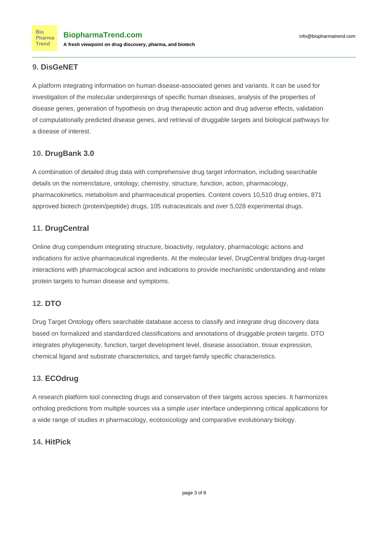## **9. [DisGeNET](https://www.biopharmatrend.com/m/product/disgenet/)**

A platform integrating information on human disease-associated genes and variants. It can be used for investigation of the molecular underpinnings of specific human diseases, analysis of the properties of disease genes, generation of hypothesis on drug therapeutic action and drug adverse effects, validation of computationally predicted disease genes, and retrieval of druggable targets and biological pathways for a disease of interest.

## **10. [DrugBank 3.0](https://www.biopharmatrend.com/m/product/drugbank//)**

A combination of detailed drug data with comprehensive drug target information, including searchable details on the nomenclature, ontology, chemistry, structure, function, action, pharmacology, pharmacokinetics, metabolism and pharmaceutical properties. Content covers 10,510 drug entries, 871 approved biotech (protein/peptide) drugs, 105 nutraceuticals and over 5,028 experimental drugs.

## **11. [DrugCentral](https://www.biopharmatrend.com/m/product/drugcentral/)**

Online drug compendium integrating structure, bioactivity, regulatory, pharmacologic actions and indications for active pharmaceutical ingredients. At the molecular level, DrugCentral bridges drug-target interactions with pharmacological action and indications to provide mechanistic understanding and relate protein targets to human disease and symptoms.

## **12. [DTO](https://www.biopharmatrend.com/m/product/dto/)**

Drug Target Ontology offers searchable database access to classify and integrate drug discovery data based on formalized and standardized classifications and annotations of druggable protein targets. DTO integrates phylogenecity, function, target development level, disease association, tissue expression, chemical ligand and substrate characteristics, and target-family specific characteristics.

## **13. [ECOdrug](https://www.biopharmatrend.com/m/product/ecodrug/)**

A research platform tool connecting drugs and conservation of their targets across species. It harmonizes ortholog predictions from multiple sources via a simple user interface underpinning critical applications for a wide range of studies in pharmacology, ecotoxicology and comparative evolutionary biology.

## **14. [HitPick](https://www.biopharmatrend.com/m/product/hitpick/)**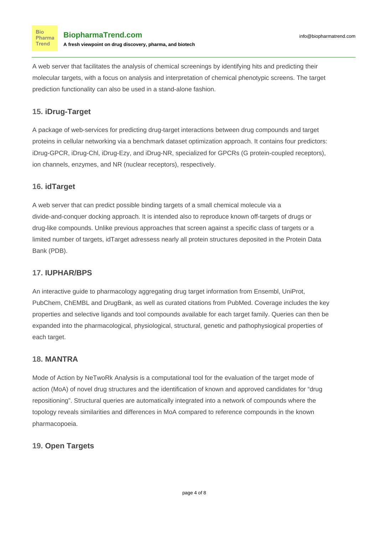A web server that facilitates the analysis of chemical screenings by identifying hits and predicting their molecular targets, with a focus on analysis and interpretation of chemical phenotypic screens. The target prediction functionality can also be used in a stand-alone fashion.

## **15. [iDrug-Target](https://www.biopharmatrend.com/m/product/idrug-target/)**

A package of web-services for predicting drug-target interactions between drug compounds and target proteins in cellular networking via a benchmark dataset optimization approach. It contains four predictors: iDrug-GPCR, iDrug-Chl, iDrug-Ezy, and iDrug-NR, specialized for GPCRs (G protein-coupled receptors), ion channels, enzymes, and NR (nuclear receptors), respectively.

## **16. [idTarget](https://www.biopharmatrend.com/m/product/idtarget/)**

A web server that can predict possible binding targets of a small chemical molecule via a divide-and-conquer docking approach. It is intended also to reproduce known off-targets of drugs or drug-like compounds. Unlike previous approaches that screen against a specific class of targets or a limited number of targets, idTarget adressess nearly all protein structures deposited in the Protein Data Bank (PDB).

## **17. [IUPHAR/BPS](https://www.biopharmatrend.com/m/product/iupharbps/)**

An interactive guide to pharmacology aggregating drug target information from Ensembl, UniProt, PubChem, ChEMBL and DrugBank, as well as curated citations from PubMed. Coverage includes the key properties and selective ligands and tool compounds available for each target family. Queries can then be expanded into the pharmacological, physiological, structural, genetic and pathophysiogical properties of each target.

## **18. [MANTRA](https://www.biopharmatrend.com/m/product/mantra/)**

Mode of Action by NeTwoRk Analysis is a computational tool for the evaluation of the target mode of action (MoA) of novel drug structures and the identification of known and approved candidates for "drug repositioning". Structural queries are automatically integrated into a network of compounds where the topology reveals similarities and differences in MoA compared to reference compounds in the known pharmacopoeia.

## **19. [Open Targets](https://www.biopharmatrend.com/m/product/open-targets/)**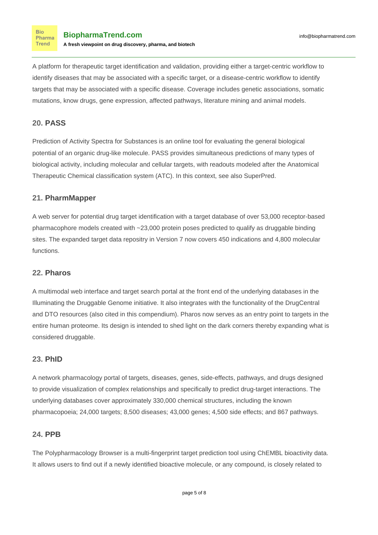A platform for therapeutic target identification and validation, providing either a target-centric workflow to identify diseases that may be associated with a specific target, or a disease-centric workflow to identify targets that may be associated with a specific disease. Coverage includes genetic associations, somatic mutations, know drugs, gene expression, affected pathways, literature mining and animal models.

## **20. [PASS](https://www.biopharmatrend.com/m/product/pass-online/)**

Prediction of Activity Spectra for Substances is an online tool for evaluating the general biological potential of an organic drug-like molecule. PASS provides simultaneous predictions of many types of biological activity, including molecular and cellular targets, with readouts modeled after the [Anatomical](http://bit.ly/2hL1Fca) [Therapeutic Chemical](http://bit.ly/2hL1Fca) classification system (ATC). In this context, see also SuperPred.

## **21. [PharmMapper](https://www.biopharmatrend.com/m/product/pharmmapper/)**

A web server for potential drug target identification with a target database of over 53,000 receptor-based pharmacophore models created with ~23,000 protein poses predicted to qualify as druggable binding sites. The expanded target data repositry in Version 7 now covers 450 indications and 4,800 molecular functions.

## **22. [Pharos](https://www.biopharmatrend.com/m/product/pharos/)**

A multimodal web interface and target search portal at the front end of the underlying databases in the Illuminating the Druggable Genome initiative. It also integrates with the functionality of the DrugCentral and DTO resources (also cited in this compendium). Pharos now serves as an entry point to targets in the entire human proteome. Its design is intended to shed light on the dark corners thereby expanding what is considered druggable.

## **23. [PhID](https://www.biopharmatrend.com/m/product/phid/)**

A network pharmacology portal of targets, diseases, genes, side-effects, pathways, and drugs designed to provide visualization of complex relationships and specifically to predict drug-target interactions. The underlying databases cover approximately 330,000 chemical structures, including the known pharmacopoeia; 24,000 targets; 8,500 diseases; 43,000 genes; 4,500 side effects; and 867 pathways.

## **24. [PPB](https://www.biopharmatrend.com/m/product/ppb/)**

The Polypharmacology Browser is a multi-fingerprint target prediction tool using ChEMBL bioactivity data. It allows users to find out if a newly identified bioactive molecule, or any compound, is closely related to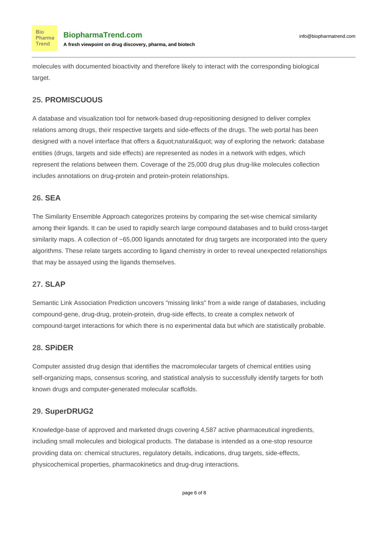molecules with documented bioactivity and therefore likely to interact with the corresponding biological target.

## **25. [PROMISCUOUS](https://www.biopharmatrend.com/m/product/promiscuous/)**

A database and visualization tool for network-based drug-repositioning designed to deliver complex relations among drugs, their respective targets and side-effects of the drugs. The web portal has been designed with a novel interface that offers a "natural" way of exploring the network: database entities (drugs, targets and side effects) are represented as nodes in a network with edges, which represent the relations between them. Coverage of the 25,000 drug plus drug-like molecules collection includes annotations on drug-protein and protein-protein relationships.

## **26. [SEA](https://www.biopharmatrend.com/m/product/sea/)**

The Similarity Ensemble Approach categorizes proteins by comparing the set-wise chemical similarity among their ligands. It can be used to rapidly search large compound databases and to build cross-target similarity maps. A collection of ~65,000 ligands annotated for drug targets are incorporated into the query algorithms. These relate targets according to ligand chemistry in order to reveal unexpected relationships that may be assayed using the ligands themselves.

## **27. [SLAP](https://www.biopharmatrend.com/m/product/slap/)**

Semantic Link Association Prediction uncovers "missing links" from a wide range of databases, including compound-gene, drug-drug, protein-protein, drug-side effects, to create a complex network of compound-target interactions for which there is no experimental data but which are statistically probable.

## **28. [SPiDER](https://www.biopharmatrend.com/m/product/spider/)**

Computer assisted drug design that identifies the macromolecular targets of chemical entities using self-organizing maps, consensus scoring, and statistical analysis to successfully identify targets for both known drugs and computer-generated molecular scaffolds.

## **29. [SuperDRUG2](https://www.biopharmatrend.com/m/product/superdrug2/)**

Knowledge-base of approved and marketed drugs covering 4,587 active pharmaceutical ingredients, including small molecules and biological products. The database is intended as a one-stop resource providing data on: chemical structures, regulatory details, indications, drug targets, side-effects, physicochemical properties, pharmacokinetics and drug-drug interactions.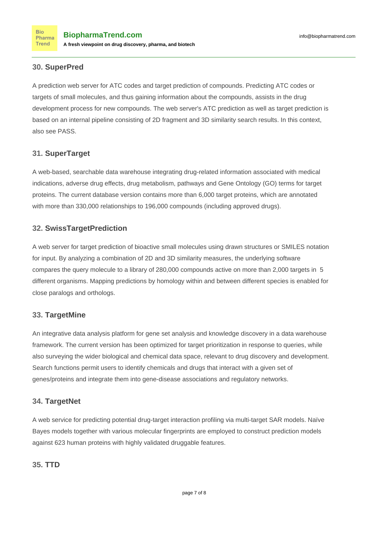## **30. [SuperPred](https://www.biopharmatrend.com/m/product/superpred/)**

**Bio** 

Trend

A prediction web server for [ATC codes](http://bit.ly/2hL1Fca) and target prediction of compounds. Predicting ATC codes or targets of small molecules, and thus gaining information about the compounds, assists in the drug development process for new compounds. The web server's ATC prediction as well as target prediction is based on an internal pipeline consisting of 2D fragment and 3D similarity search results. In this context, also see PASS.

## **31. [SuperTarget](https://www.biopharmatrend.com/m/product/supertarget/)**

A web-based, searchable data warehouse integrating drug-related information associated with medical indications, adverse drug effects, drug metabolism, pathways and Gene Ontology (GO) terms for target proteins. The current database version contains more than 6,000 target proteins, which are annotated with more than 330,000 relationships to 196,000 compounds (including approved drugs).

#### **32. [SwissTargetPrediction](https://www.biopharmatrend.com/m/product/swisstargetprediction/)**

A web server for target prediction of bioactive small molecules using drawn structures or SMILES notation for input. By analyzing a combination of 2D and 3D similarity measures, the underlying software compares the query molecule to a library of 280,000 compounds active on more than 2,000 targets in 5 different organisms. Mapping predictions by homology within and between different species is enabled for close paralogs and orthologs.

## **33. [TargetMine](https://www.biopharmatrend.com/m/product/targetmine/)**

An integrative data analysis platform for gene set analysis and knowledge discovery in a data warehouse framework. The current version has been optimized for target prioritization in response to queries, while also surveying the wider biological and chemical data space, relevant to drug discovery and development. Search functions permit users to identify chemicals and drugs that interact with a given set of genes/proteins and integrate them into gene-disease associations and regulatory networks.

#### **34. [TargetNet](https://www.biopharmatrend.com/m/product/targetnet/)**

A web service for predicting potential drug-target interaction profiling via multi-target SAR models. Naïve Bayes models together with various molecular fingerprints are employed to construct prediction models against 623 human proteins with highly validated druggable features.

#### **35. [TTD](https://www.biopharmatrend.com/m/product/ttd/)**